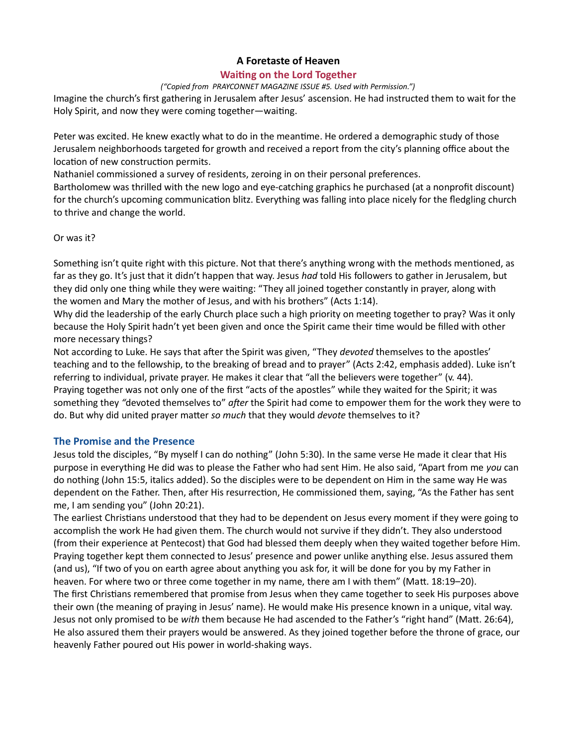# A Foretaste of Heaven

### Waiting on the Lord Together

#### ("Copied from PRAYCONNET MAGAZINE ISSUE #5. Used with Permission.")

Imagine the church's first gathering in Jerusalem after Jesus' ascension. He had instructed them to wait for the Holy Spirit, and now they were coming together—waiting.

Peter was excited. He knew exactly what to do in the meantime. He ordered a demographic study of those Jerusalem neighborhoods targeted for growth and received a report from the city's planning office about the location of new construction permits.

Nathaniel commissioned a survey of residents, zeroing in on their personal preferences.

Bartholomew was thrilled with the new logo and eye-catching graphics he purchased (at a nonprofit discount) for the church's upcoming communication blitz. Everything was falling into place nicely for the fledgling church to thrive and change the world.

### Or was it?

Something isn't quite right with this picture. Not that there's anything wrong with the methods mentioned, as far as they go. It's just that it didn't happen that way. Jesus had told His followers to gather in Jerusalem, but they did only one thing while they were waiting: "They all joined together constantly in prayer, along with the women and Mary the mother of Jesus, and with his brothers" (Acts 1:14).

Why did the leadership of the early Church place such a high priority on meeting together to pray? Was it only because the Holy Spirit hadn't yet been given and once the Spirit came their time would be filled with other more necessary things?

Not according to Luke. He says that after the Spirit was given, "They devoted themselves to the apostles' teaching and to the fellowship, to the breaking of bread and to prayer" (Acts 2:42, emphasis added). Luke isn't referring to individual, private prayer. He makes it clear that "all the believers were together" (v. 44). Praying together was not only one of the first "acts of the apostles" while they waited for the Spirit; it was something they "devoted themselves to" after the Spirit had come to empower them for the work they were to do. But why did united prayer matter so much that they would devote themselves to it?

## The Promise and the Presence

Jesus told the disciples, "By myself I can do nothing" (John 5:30). In the same verse He made it clear that His purpose in everything He did was to please the Father who had sent Him. He also said, "Apart from me you can do nothing (John 15:5, italics added). So the disciples were to be dependent on Him in the same way He was dependent on the Father. Then, after His resurrection, He commissioned them, saying, "As the Father has sent me, I am sending you" (John 20:21).

The earliest Christians understood that they had to be dependent on Jesus every moment if they were going to accomplish the work He had given them. The church would not survive if they didn't. They also understood (from their experience at Pentecost) that God had blessed them deeply when they waited together before Him. Praying together kept them connected to Jesus' presence and power unlike anything else. Jesus assured them (and us), "If two of you on earth agree about anything you ask for, it will be done for you by my Father in heaven. For where two or three come together in my name, there am I with them" (Matt. 18:19–20). The first Christians remembered that promise from Jesus when they came together to seek His purposes above their own (the meaning of praying in Jesus' name). He would make His presence known in a unique, vital way. Jesus not only promised to be with them because He had ascended to the Father's "right hand" (Matt. 26:64), He also assured them their prayers would be answered. As they joined together before the throne of grace, our heavenly Father poured out His power in world-shaking ways.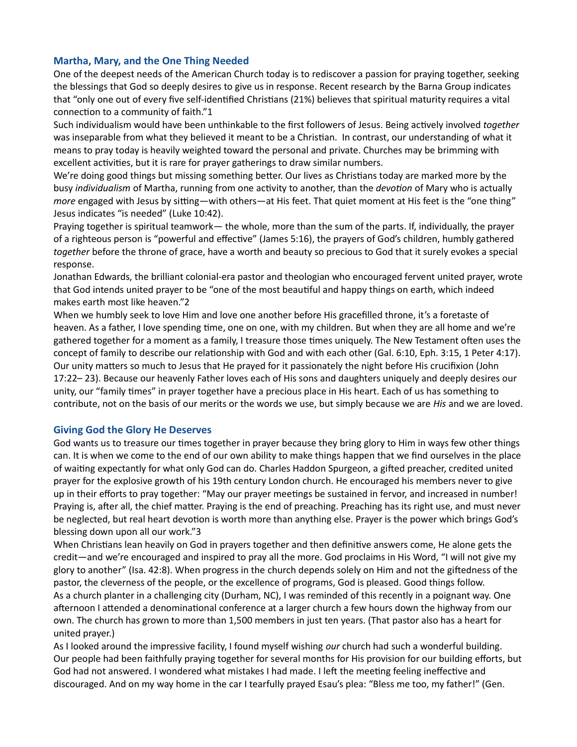### Martha, Mary, and the One Thing Needed

One of the deepest needs of the American Church today is to rediscover a passion for praying together, seeking the blessings that God so deeply desires to give us in response. Recent research by the Barna Group indicates that "only one out of every five self-identified Christians (21%) believes that spiritual maturity requires a vital connection to a community of faith."1

Such individualism would have been unthinkable to the first followers of Jesus. Being actively involved together was inseparable from what they believed it meant to be a Christian. In contrast, our understanding of what it means to pray today is heavily weighted toward the personal and private. Churches may be brimming with excellent activities, but it is rare for prayer gatherings to draw similar numbers.

We're doing good things but missing something better. Our lives as Christians today are marked more by the busy *individualism* of Martha, running from one activity to another, than the *devotion* of Mary who is actually more engaged with Jesus by sitting—with others—at His feet. That quiet moment at His feet is the "one thing" Jesus indicates "is needed" (Luke 10:42).

Praying together is spiritual teamwork— the whole, more than the sum of the parts. If, individually, the prayer of a righteous person is "powerful and effective" (James 5:16), the prayers of God's children, humbly gathered together before the throne of grace, have a worth and beauty so precious to God that it surely evokes a special response.

Jonathan Edwards, the brilliant colonial-era pastor and theologian who encouraged fervent united prayer, wrote that God intends united prayer to be "one of the most beautiful and happy things on earth, which indeed makes earth most like heaven."2

When we humbly seek to love Him and love one another before His gracefilled throne, it's a foretaste of heaven. As a father, I love spending time, one on one, with my children. But when they are all home and we're gathered together for a moment as a family, I treasure those times uniquely. The New Testament often uses the concept of family to describe our relationship with God and with each other (Gal. 6:10, Eph. 3:15, 1 Peter 4:17). Our unity maƩers so much to Jesus that He prayed for it passionately the night before His crucifixion (John 17:22– 23). Because our heavenly Father loves each of His sons and daughters uniquely and deeply desires our unity, our "family times" in prayer together have a precious place in His heart. Each of us has something to contribute, not on the basis of our merits or the words we use, but simply because we are His and we are loved.

### Giving God the Glory He Deserves

God wants us to treasure our times together in prayer because they bring glory to Him in ways few other things can. It is when we come to the end of our own ability to make things happen that we find ourselves in the place of waiting expectantly for what only God can do. Charles Haddon Spurgeon, a gifted preacher, credited united prayer for the explosive growth of his 19th century London church. He encouraged his members never to give up in their efforts to pray together: "May our prayer meetings be sustained in fervor, and increased in number! Praying is, after all, the chief matter. Praying is the end of preaching. Preaching has its right use, and must never be neglected, but real heart devotion is worth more than anything else. Prayer is the power which brings God's blessing down upon all our work."3

When Christians lean heavily on God in prayers together and then definitive answers come, He alone gets the credit—and we're encouraged and inspired to pray all the more. God proclaims in His Word, "I will not give my glory to another" (Isa. 42:8). When progress in the church depends solely on Him and not the giftedness of the pastor, the cleverness of the people, or the excellence of programs, God is pleased. Good things follow. As a church planter in a challenging city (Durham, NC), I was reminded of this recently in a poignant way. One afternoon I attended a denominational conference at a larger church a few hours down the highway from our own. The church has grown to more than 1,500 members in just ten years. (That pastor also has a heart for united prayer.)

As I looked around the impressive facility, I found myself wishing our church had such a wonderful building. Our people had been faithfully praying together for several months for His provision for our building efforts, but God had not answered. I wondered what mistakes I had made. I left the meeting feeling ineffective and discouraged. And on my way home in the car I tearfully prayed Esau's plea: "Bless me too, my father!" (Gen.